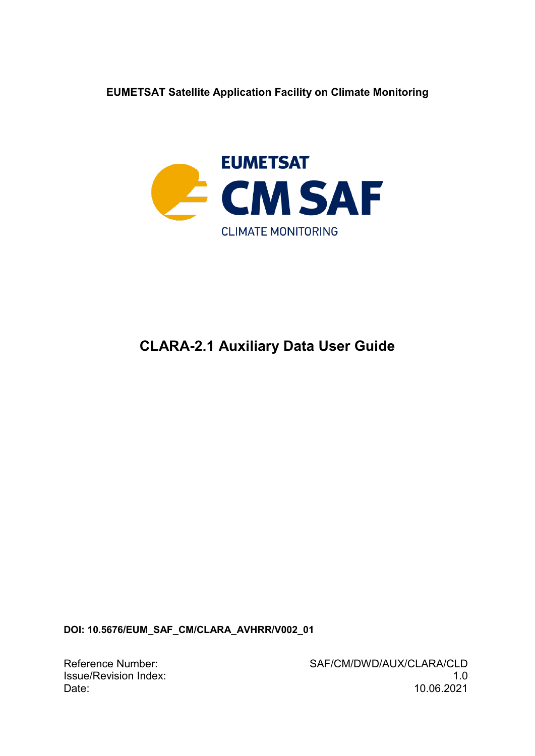**EUMETSAT Satellite Application Facility on Climate Monitoring**



# **CLARA-2.1 Auxiliary Data User Guide**

**DOI: 10.5676/EUM\_SAF\_CM/CLARA\_AVHRR/V002\_01**

Reference Number: SAF/CM/DWD/AUX/CLARA/CLD Issue/Revision Index: 1.0 Date: 10.06.2021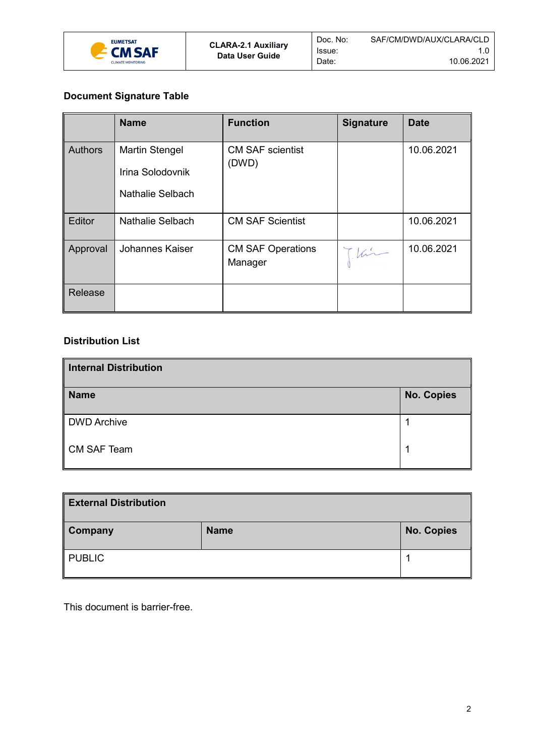

Doc. No: Issue: Date:

## **Document Signature Table**

|                | <b>Name</b>                                                   | <b>Function</b>                     | <b>Signature</b> | <b>Date</b> |
|----------------|---------------------------------------------------------------|-------------------------------------|------------------|-------------|
| <b>Authors</b> | <b>Martin Stengel</b><br>Irina Solodovnik<br>Nathalie Selbach | <b>CM SAF scientist</b><br>(DWD)    |                  | 10.06.2021  |
| Editor         | <b>Nathalie Selbach</b>                                       | <b>CM SAF Scientist</b>             |                  | 10.06.2021  |
| Approval       | Johannes Kaiser                                               | <b>CM SAF Operations</b><br>Manager | Chin             | 10.06.2021  |
| Release        |                                                               |                                     |                  |             |

### **Distribution List**

| Internal Distribution |                   |  |
|-----------------------|-------------------|--|
| <b>Name</b>           | <b>No. Copies</b> |  |
| DWD Archive           |                   |  |
| CM SAF Team           |                   |  |

| <b>External Distribution</b> |             |                   |
|------------------------------|-------------|-------------------|
| <b>Company</b>               | <b>Name</b> | <b>No. Copies</b> |
| $\parallel$ PUBLIC           |             |                   |

This document is barrier-free.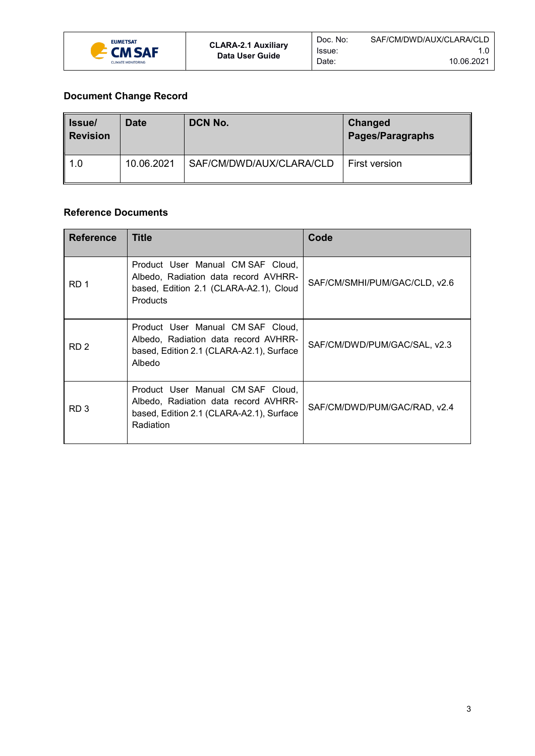

## **Document Change Record**

| <b>Issue</b><br><b>Revision</b> | Date       | DCN No.                  | <b>Changed</b><br><b>Pages/Paragraphs</b> |
|---------------------------------|------------|--------------------------|-------------------------------------------|
| 1.0                             | 10.06.2021 | SAF/CM/DWD/AUX/CLARA/CLD | First version                             |

#### **Reference Documents**

<span id="page-2-2"></span><span id="page-2-1"></span><span id="page-2-0"></span>

| <b>Reference</b> | Title                                                                                                                                  | Code                          |
|------------------|----------------------------------------------------------------------------------------------------------------------------------------|-------------------------------|
| RD 1             | Product User Manual CM SAF Cloud,<br>Albedo, Radiation data record AVHRR-<br>based, Edition 2.1 (CLARA-A2.1), Cloud<br><b>Products</b> | SAF/CM/SMHI/PUM/GAC/CLD, v2.6 |
| RD <sub>2</sub>  | Product User Manual CM SAF Cloud,<br>Albedo, Radiation data record AVHRR-<br>based, Edition 2.1 (CLARA-A2.1), Surface<br>Albedo        | SAF/CM/DWD/PUM/GAC/SAL, v2.3  |
| RD <sub>3</sub>  | Product User Manual CM SAF Cloud,<br>Albedo, Radiation data record AVHRR-<br>based, Edition 2.1 (CLARA-A2.1), Surface<br>Radiation     | SAF/CM/DWD/PUM/GAC/RAD, v2.4  |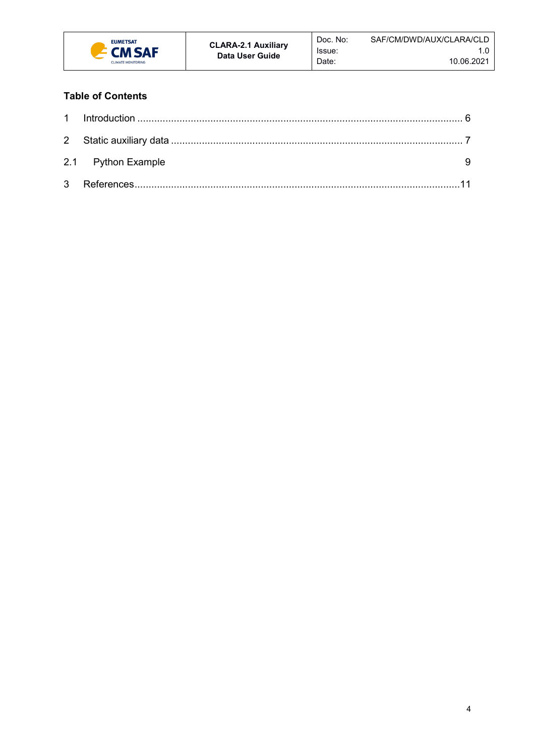

## **Table of Contents**

| 2.1 Python Example |  |
|--------------------|--|
|                    |  |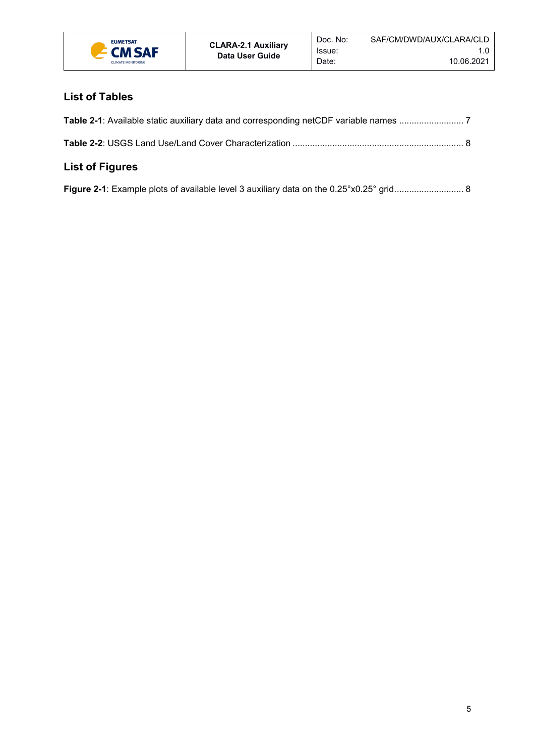

# **List of Tables**

| List of Figures |  |
|-----------------|--|

|  | Figure 2-1: Example plots of available level 3 auxiliary data on the 0.25°x0.25° grid 8 |  |
|--|-----------------------------------------------------------------------------------------|--|
|  |                                                                                         |  |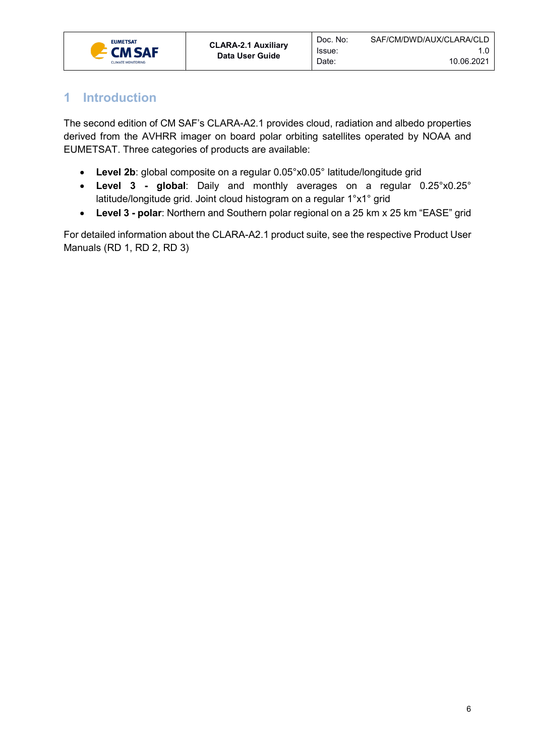

# <span id="page-5-0"></span>**1 Introduction**

The second edition of CM SAF's CLARA-A2.1 provides cloud, radiation and albedo properties derived from the AVHRR imager on board polar orbiting satellites operated by NOAA and EUMETSAT. Three categories of products are available:

Issue: Date:

- **Level 2b**: global composite on a regular 0.05°x0.05° latitude/longitude grid
- **Level 3 - global**: Daily and monthly averages on a regular 0.25°x0.25° latitude/longitude grid. Joint cloud histogram on a regular 1°x1° grid
- **Level 3 - polar**: Northern and Southern polar regional on a 25 km x 25 km "EASE" grid

For detailed information about the CLARA-A2.1 product suite, see the respective Product User Manuals [\(RD 1,](#page-2-0) [RD 2,](#page-2-1) [RD 3\)](#page-2-2)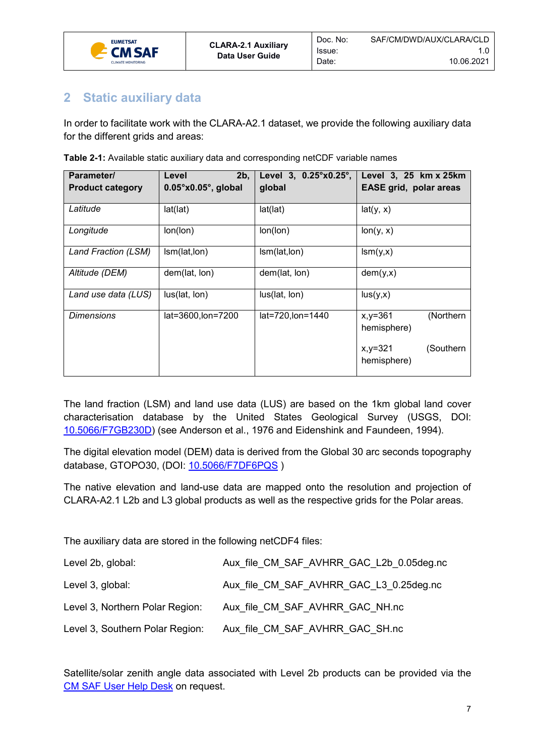

# <span id="page-6-0"></span>**2 Static auxiliary data**

In order to facilitate work with the CLARA-A2.1 dataset, we provide the following auxiliary data for the different grids and areas:

Issue: Date:

| Parameter/              | 2b.<br>Level                  | Level 3, 0.25°x0.25°, | Level 3, 25 km x 25km                    |
|-------------------------|-------------------------------|-----------------------|------------------------------------------|
| <b>Product category</b> | $0.05^{\circ}$ x0.05°, global | global                | <b>EASE grid, polar areas</b>            |
| Latitude                | lat(lat)                      | lat(lat)              | lat(y, x)                                |
| Longitude               | lon(lon)                      | lon(lon)              | lon(y, x)                                |
| Land Fraction (LSM)     | Ism(lat, lon)                 | Ism(lat, lon)         | lsm(y,x)                                 |
| Altitude (DEM)          | dem(lat, lon)                 | dem(lat, lon)         | dem(y,x)                                 |
| Land use data (LUS)     | lus(lat, lon)                 | lus(lat, lon)         | lus(y,x)                                 |
| <b>Dimensions</b>       | lat=3600,lon=7200             | lat=720,lon=1440      | (Northern<br>$x, y = 361$<br>hemisphere) |
|                         |                               |                       | (Southern<br>$x, y = 321$<br>hemisphere) |

<span id="page-6-1"></span>**Table 2-1:** Available static auxiliary data and corresponding netCDF variable names

The land fraction (LSM) and land use data (LUS) are based on the 1km global land cover characterisation database by the United States Geological Survey (USGS, DOI: [10.5066/F7GB230D\)](https://doi.org/10.5066/F7GB230D) (see Anderson et al., 1976 and Eidenshink and Faundeen, 1994).

The digital elevation model (DEM) data is derived from the Global 30 arc seconds topography database, GTOPO30, (DOI: [10.5066/F7DF6PQS](https://doi.org/10.5066/F7DF6PQS) )

The native elevation and land-use data are mapped onto the resolution and projection of CLARA-A2.1 L2b and L3 global products as well as the respective grids for the Polar areas.

The auxiliary data are stored in the following netCDF4 files:

| Level 2b, global:               | Aux file CM SAF AVHRR GAC L2b 0.05deg.nc |
|---------------------------------|------------------------------------------|
| Level 3, global:                | Aux file CM SAF AVHRR GAC L3 0.25 deg.nc |
| Level 3, Northern Polar Region: | Aux file CM SAF AVHRR GAC NH.nc          |
| Level 3, Southern Polar Region: | Aux file CM SAF AVHRR GAC SH.nc          |

Satellite/solar zenith angle data associated with Level 2b products can be provided via the CM [SAF User Help Desk](https://www.cmsaf.eu/EN/Service/UHD/UHD_node.html) on request.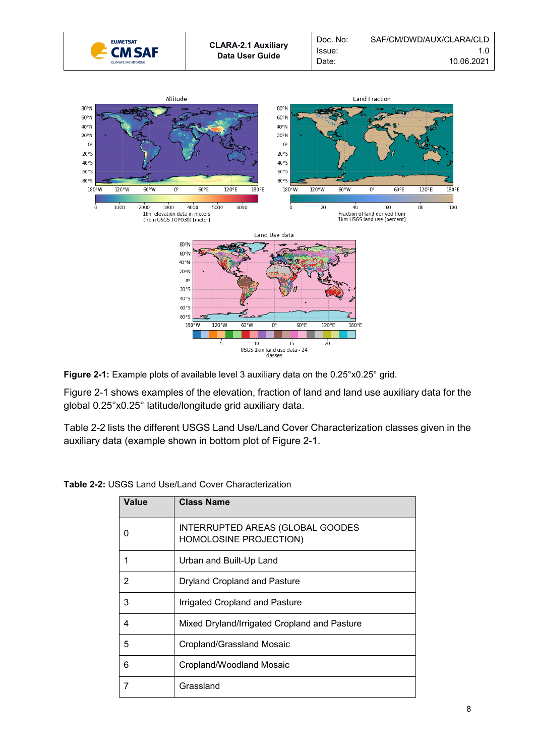



<span id="page-7-1"></span>**Figure 2-1:** Example plots of available level 3 auxiliary data on the 0.25°x0.25° grid.

[Figure 2-1](#page-7-1) shows examples of the elevation, fraction of land and land use auxiliary data for the global 0.25°x0.25° latitude/longitude grid auxiliary data.

[Table 2-2](#page-7-0) lists the different USGS Land Use/Land Cover Characterization classes given in the auxiliary data (example shown in bottom plot of [Figure 2-1.](#page-7-1)

| Value | <b>Class Name</b>                                          |
|-------|------------------------------------------------------------|
|       | INTERRUPTED AREAS (GLOBAL GOODES<br>HOMOLOSINE PROJECTION) |
|       | Urban and Built-Up Land                                    |
| 2     | <b>Dryland Cropland and Pasture</b>                        |
| 3     | Irrigated Cropland and Pasture                             |
| 4     | Mixed Dryland/Irrigated Cropland and Pasture               |
| 5     | Cropland/Grassland Mosaic                                  |
| 6     | Cropland/Woodland Mosaic                                   |
|       | Grassland                                                  |

<span id="page-7-0"></span>**Table 2-2:** USGS Land Use/Land Cover Characterization

40°5  $60°5$ 

80°S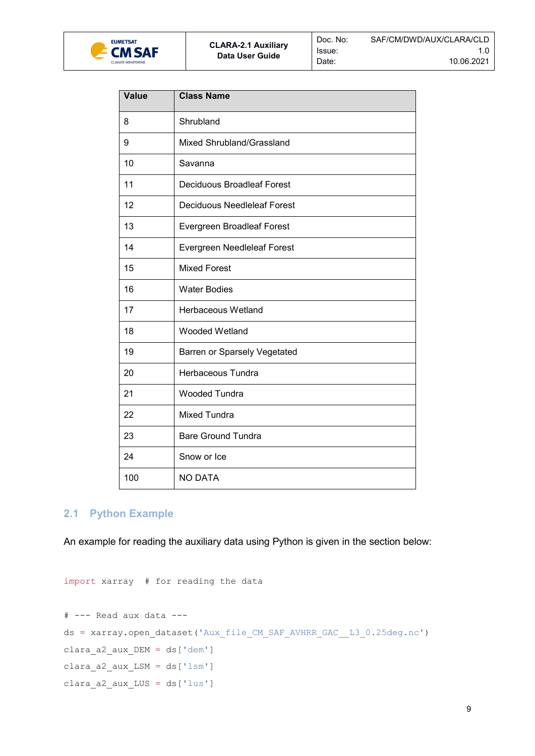

| Value | <b>Class Name</b>                  |
|-------|------------------------------------|
| 8     | Shrubland                          |
| 9     | Mixed Shrubland/Grassland          |
| 10    | Savanna                            |
| 11    | <b>Deciduous Broadleaf Forest</b>  |
| 12    | <b>Deciduous Needleleaf Forest</b> |
| 13    | Evergreen Broadleaf Forest         |
| 14    | Evergreen Needleleaf Forest        |
| 15    | <b>Mixed Forest</b>                |
| 16    | <b>Water Bodies</b>                |
| 17    | Herbaceous Wetland                 |
| 18    | Wooded Wetland                     |
| 19    | Barren or Sparsely Vegetated       |
| 20    | Herbaceous Tundra                  |
| 21    | <b>Wooded Tundra</b>               |
| 22    | <b>Mixed Tundra</b>                |
| 23    | <b>Bare Ground Tundra</b>          |
| 24    | Snow or Ice                        |
| 100   | <b>NO DATA</b>                     |

### <span id="page-8-0"></span>**2.1 Python Example**

An example for reading the auxiliary data using Python is given in the section below:

```
import xarray # for reading the data
# --- Read aux data ---
ds = xarray.open_dataset('Aux_file_CM_SAF_AVHRR_GAC__L3_0.25deg.nc')
clara_a2_aux_DEM = ds['dem']
clara_a2_aux_LSM = ds['lsm']
clara_a2_aux_LUS = ds['lus']
```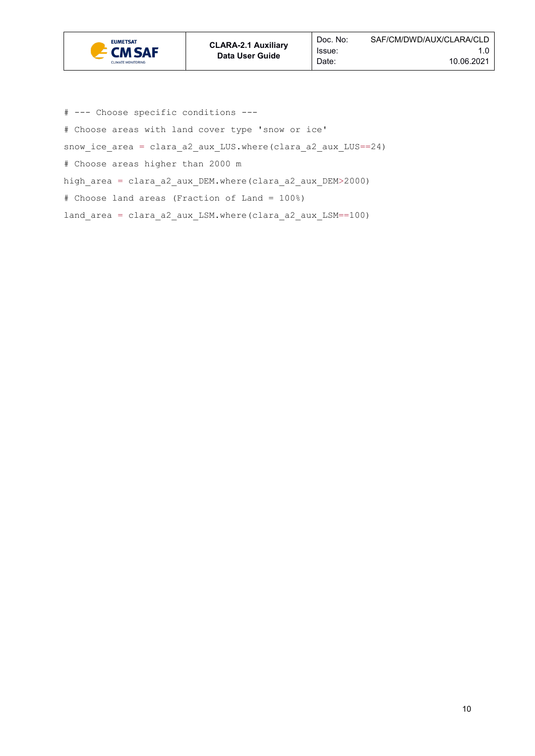

# --- Choose specific conditions ---

# Choose areas with land cover type 'snow or ice'

snow ice\_area = clara\_a2\_aux\_LUS.where(clara\_a2\_aux\_LUS==24)

# Choose areas higher than 2000 m

high\_area = clara\_a2\_aux\_DEM.where(clara\_a2\_aux\_DEM>2000)

# Choose land areas (Fraction of Land = 100%)

land\_area = clara\_a2\_aux\_LSM.where(clara\_a2\_aux\_LSM==100)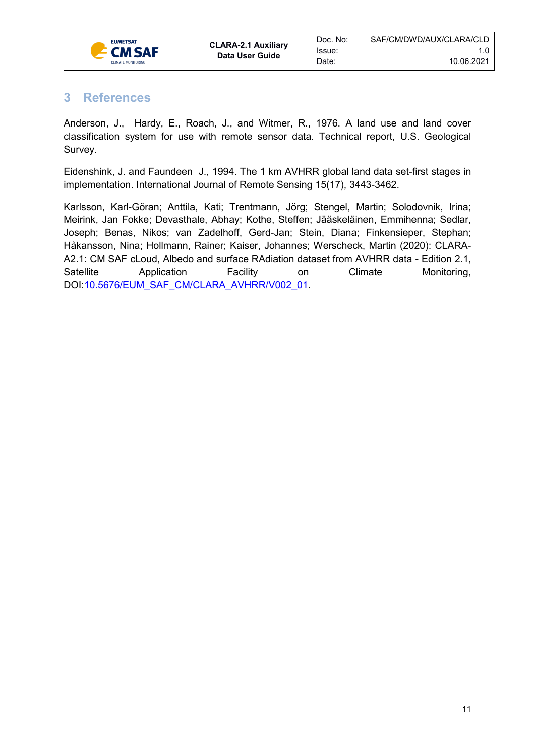

# <span id="page-10-0"></span>**3 References**

Anderson, J., Hardy, E., Roach, J., and Witmer, R., 1976. A land use and land cover classification system for use with remote sensor data. Technical report, U.S. Geological Survey.

Eidenshink, J. and Faundeen J., 1994. The 1 km AVHRR global land data set-first stages in implementation. International Journal of Remote Sensing 15(17), 3443-3462.

Karlsson, Karl-Göran; Anttila, Kati; Trentmann, Jörg; Stengel, Martin; Solodovnik, Irina; Meirink, Jan Fokke; Devasthale, Abhay; Kothe, Steffen; Jääskeläinen, Emmihenna; Sedlar, Joseph; Benas, Nikos; van Zadelhoff, Gerd-Jan; Stein, Diana; Finkensieper, Stephan; Håkansson, Nina; Hollmann, Rainer; Kaiser, Johannes; Werscheck, Martin (2020): CLARA-A2.1: CM SAF cLoud, Albedo and surface RAdiation dataset from AVHRR data - Edition 2.1, Satellite Application Facility on Climate Monitoring, DOI[:10.5676/EUM\\_SAF\\_CM/CLARA\\_AVHRR/V002\\_01.](https://doi.org/10.5676/EUM_SAF_CM/CLARA_AVHRR/V002_01.)